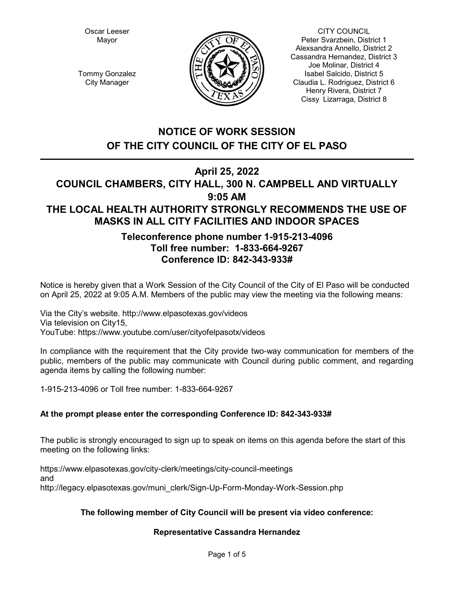Oscar Leeser Mayor



CITY COUNCIL Peter Svarzbein, District 1 Alexsandra Annello, District 2 Cassandra Hernandez, District 3 Joe Molinar, District 4 Isabel Salcido, District 5 Claudia L. Rodriguez, District 6 Henry Rivera, District 7 Cissy Lizarraga, District 8

Tommy Gonzalez City Manager

# **NOTICE OF WORK SESSION OF THE CITY COUNCIL OF THE CITY OF EL PASO**

# **April 25, 2022**

# **COUNCIL CHAMBERS, CITY HALL, 300 N. CAMPBELL AND VIRTUALLY 9:05 AM THE LOCAL HEALTH AUTHORITY STRONGLY RECOMMENDS THE USE OF MASKS IN ALL CITY FACILITIES AND INDOOR SPACES**

## **Teleconference phone number 1-915-213-4096 Toll free number: 1-833-664-9267 Conference ID: 842-343-933#**

Notice is hereby given that a Work Session of the City Council of the City of El Paso will be conducted on April 25, 2022 at 9:05 A.M. Members of the public may view the meeting via the following means:

Via the City's website. http://www.elpasotexas.gov/videos Via television on City15, YouTube: https://www.youtube.com/user/cityofelpasotx/videos

In compliance with the requirement that the City provide two-way communication for members of the public, members of the public may communicate with Council during public comment, and regarding agenda items by calling the following number:

1-915-213-4096 or Toll free number: 1-833-664-9267

## **At the prompt please enter the corresponding Conference ID: 842-343-933#**

The public is strongly encouraged to sign up to speak on items on this agenda before the start of this meeting on the following links:

https://www.elpasotexas.gov/city-clerk/meetings/city-council-meetings and http://legacy.elpasotexas.gov/muni\_clerk/Sign-Up-Form-Monday-Work-Session.php

## **The following member of City Council will be present via video conference:**

## **Representative Cassandra Hernandez**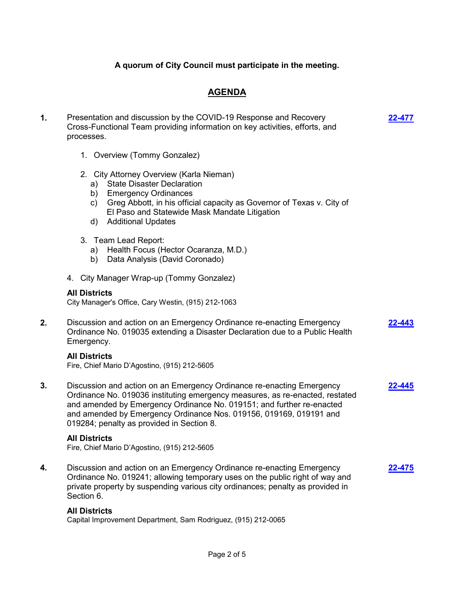## **A quorum of City Council must participate in the meeting.**

## **AGENDA**

**[22-477](http://elpasotexas.legistar.com/gateway.aspx?m=l&id=/matter.aspx?key=6941)**

- **1.** Presentation and discussion by the COVID-19 Response and Recovery Cross-Functional Team providing information on key activities, efforts, and processes.
	- 1. Overview (Tommy Gonzalez)
	- 2. City Attorney Overview (Karla Nieman)
		- a) State Disaster Declaration
		- b) Emergency Ordinances
		- c) Greg Abbott, in his official capacity as Governor of Texas v. City of El Paso and Statewide Mask Mandate Litigation
		- d) Additional Updates
	- 3. Team Lead Report:
		- a) Health Focus (Hector Ocaranza, M.D.)
		- b) Data Analysis (David Coronado)
	- 4. City Manager Wrap-up (Tommy Gonzalez)

#### **All Districts**

City Manager's Office, Cary Westin, (915) 212-1063

**2.** Discussion and action on an Emergency Ordinance re-enacting Emergency Ordinance No. 019035 extending a Disaster Declaration due to a Public Health Emergency. **[22-443](http://elpasotexas.legistar.com/gateway.aspx?m=l&id=/matter.aspx?key=6907)**

#### **All Districts**

Fire, Chief Mario D'Agostino, (915) 212-5605

**3.** Discussion and action on an Emergency Ordinance re-enacting Emergency Ordinance No. 019036 instituting emergency measures, as re-enacted, restated and amended by Emergency Ordinance No. 019151; and further re-enacted and amended by Emergency Ordinance Nos. 019156, 019169, 019191 and 019284; penalty as provided in Section 8. **[22-445](http://elpasotexas.legistar.com/gateway.aspx?m=l&id=/matter.aspx?key=6909)**

#### **All Districts**

Fire, Chief Mario D'Agostino, (915) 212-5605

**4.** Discussion and action on an Emergency Ordinance re-enacting Emergency Ordinance No. 019241; allowing temporary uses on the public right of way and private property by suspending various city ordinances; penalty as provided in Section 6. **[22-475](http://elpasotexas.legistar.com/gateway.aspx?m=l&id=/matter.aspx?key=6939)**

#### **All Districts**

Capital Improvement Department, Sam Rodriguez, (915) 212-0065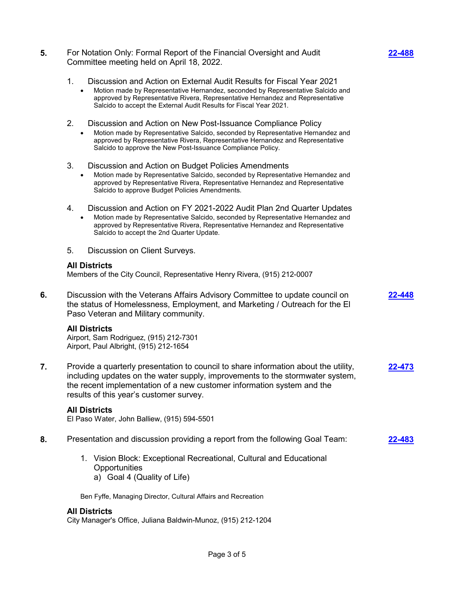- **5.** For Notation Only: Formal Report of the Financial Oversight and Audit Committee meeting held on April 18, 2022.
	- 1. Discussion and Action on External Audit Results for Fiscal Year 2021
		- · Motion made by Representative Hernandez, seconded by Representative Salcido and approved by Representative Rivera, Representative Hernandez and Representative Salcido to accept the External Audit Results for Fiscal Year 2021.
	- 2. Discussion and Action on New Post-Issuance Compliance Policy · Motion made by Representative Salcido, seconded by Representative Hernandez and approved by Representative Rivera, Representative Hernandez and Representative Salcido to approve the New Post-Issuance Compliance Policy.
	- 3. Discussion and Action on Budget Policies Amendments
		- · Motion made by Representative Salcido, seconded by Representative Hernandez and approved by Representative Rivera, Representative Hernandez and Representative Salcido to approve Budget Policies Amendments.
	- 4. Discussion and Action on FY 2021-2022 Audit Plan 2nd Quarter Updates
		- · Motion made by Representative Salcido, seconded by Representative Hernandez and approved by Representative Rivera, Representative Hernandez and Representative Salcido to accept the 2nd Quarter Update.
	- 5. Discussion on Client Surveys.

#### **All Districts**

Members of the City Council, Representative Henry Rivera, (915) 212-0007

**6.** Discussion with the Veterans Affairs Advisory Committee to update council on the status of Homelessness, Employment, and Marketing / Outreach for the El Paso Veteran and Military community. **[22-448](http://elpasotexas.legistar.com/gateway.aspx?m=l&id=/matter.aspx?key=6912)**

#### **All Districts**

Airport, Sam Rodriguez, (915) 212-7301 Airport, Paul Albright, (915) 212-1654

**7.** Provide a quarterly presentation to council to share information about the utility, including updates on the water supply, improvements to the stormwater system, the recent implementation of a new customer information system and the results of this year's customer survey. **[22-473](http://elpasotexas.legistar.com/gateway.aspx?m=l&id=/matter.aspx?key=6937)**

#### **All Districts**

El Paso Water, John Balliew, (915) 594-5501

- **8.** Presentation and discussion providing a report from the following Goal Team: **[22-483](http://elpasotexas.legistar.com/gateway.aspx?m=l&id=/matter.aspx?key=6947)**
	- 1. Vision Block: Exceptional Recreational, Cultural and Educational **Opportunities** a) Goal 4 (Quality of Life)

Ben Fyffe, Managing Director, Cultural Affairs and Recreation

#### **All Districts**

City Manager's Office, Juliana Baldwin-Munoz, (915) 212-1204

**[22-488](http://elpasotexas.legistar.com/gateway.aspx?m=l&id=/matter.aspx?key=6952)**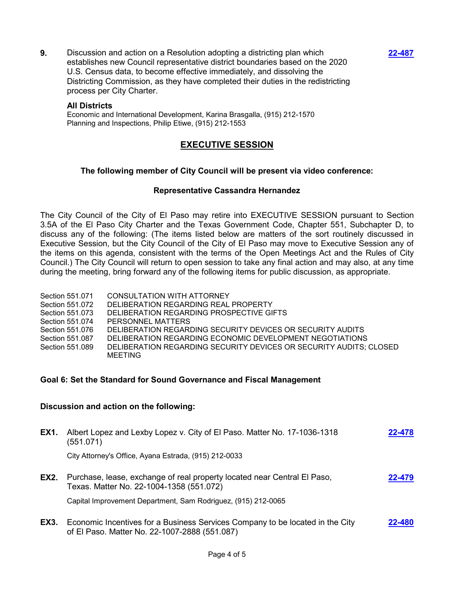**9.** Discussion and action on a Resolution adopting a districting plan which establishes new Council representative district boundaries based on the 2020 U.S. Census data, to become effective immediately, and dissolving the Districting Commission, as they have completed their duties in the redistricting process per City Charter.

#### **All Districts**

Economic and International Development, Karina Brasgalla, (915) 212-1570 Planning and Inspections, Philip Etiwe, (915) 212-1553

## **EXECUTIVE SESSION**

## **The following member of City Council will be present via video conference:**

### **Representative Cassandra Hernandez**

The City Council of the City of El Paso may retire into EXECUTIVE SESSION pursuant to Section 3.5A of the El Paso City Charter and the Texas Government Code, Chapter 551, Subchapter D, to discuss any of the following: (The items listed below are matters of the sort routinely discussed in Executive Session, but the City Council of the City of El Paso may move to Executive Session any of the items on this agenda, consistent with the terms of the Open Meetings Act and the Rules of City Council.) The City Council will return to open session to take any final action and may also, at any time during the meeting, bring forward any of the following items for public discussion, as appropriate.

| Section 551.071 | CONSULTATION WITH ATTORNEY                                         |
|-----------------|--------------------------------------------------------------------|
| Section 551.072 | DELIBERATION REGARDING REAL PROPERTY                               |
| Section 551.073 | DELIBERATION REGARDING PROSPECTIVE GIFTS                           |
| Section 551.074 | PERSONNEL MATTERS                                                  |
| Section 551.076 | DELIBERATION REGARDING SECURITY DEVICES OR SECURITY AUDITS         |
| Section 551.087 | DELIBERATION REGARDING ECONOMIC DEVELOPMENT NEGOTIATIONS           |
| Section 551.089 | DELIBERATION REGARDING SECURITY DEVICES OR SECURITY AUDITS: CLOSED |
|                 | <b>MEETING</b>                                                     |

### **Goal 6: Set the Standard for Sound Governance and Fiscal Management**

### **Discussion and action on the following:**

| EX1.        | Albert Lopez and Lexby Lopez v. City of El Paso. Matter No. 17-1036-1318<br>(551.071)                                          | 22-478 |
|-------------|--------------------------------------------------------------------------------------------------------------------------------|--------|
|             | City Attorney's Office, Ayana Estrada, (915) 212-0033                                                                          |        |
| EX2.        | Purchase, lease, exchange of real property located near Central El Paso,<br>Texas. Matter No. 22-1004-1358 (551.072)           | 22-479 |
|             | Capital Improvement Department, Sam Rodriguez, (915) 212-0065                                                                  |        |
| <b>EX3.</b> | Economic Incentives for a Business Services Company to be located in the City<br>of El Paso. Matter No. 22-1007-2888 (551.087) | 22-480 |

**[22-487](http://elpasotexas.legistar.com/gateway.aspx?m=l&id=/matter.aspx?key=6951)**